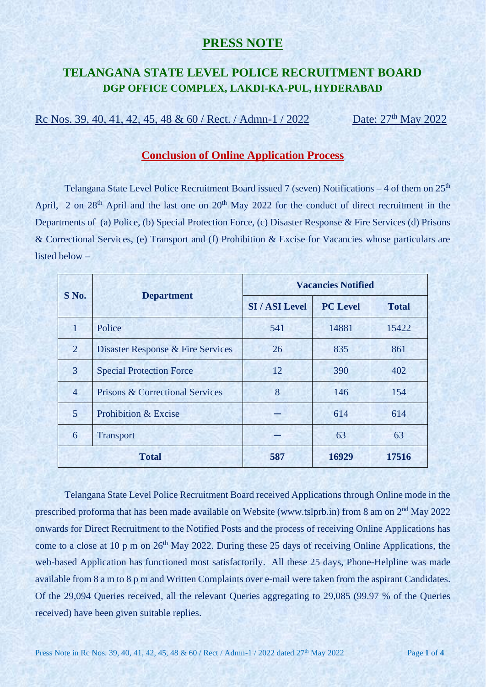### **PRESS NOTE**

# **TELANGANA STATE LEVEL POLICE RECRUITMENT BOARD DGP OFFICE COMPLEX, LAKDI-KA-PUL, HYDERABAD**

Rc Nos. 39, 40, 41, 42, 45, 48 & 60 / Rect. / Admn-1 / 2022 Date: 27<sup>th</sup> May 2022

#### **Conclusion of Online Application Process**

Telangana State Level Police Recruitment Board issued 7 (seven) Notifications  $-4$  of them on  $25<sup>th</sup>$ April, 2 on 28<sup>th</sup> April and the last one on 20<sup>th</sup> May 2022 for the conduct of direct recruitment in the Departments of (a) Police, (b) Special Protection Force, (c) Disaster Response & Fire Services (d) Prisons & Correctional Services, (e) Transport and (f) Prohibition & Excise for Vacancies whose particulars are listed below –

| $S$ No.        |                                            | <b>Vacancies Notified</b> |                 |              |
|----------------|--------------------------------------------|---------------------------|-----------------|--------------|
|                | <b>Department</b>                          | <b>SI / ASI Level</b>     | <b>PC Level</b> | <b>Total</b> |
| 1              | Police                                     | 541                       | 14881           | 15422        |
| $\overline{2}$ | Disaster Response & Fire Services          | 26                        | 835             | 861          |
| 3              | <b>Special Protection Force</b>            | 12                        | 390             | 402          |
| $\overline{4}$ | <b>Prisons &amp; Correctional Services</b> | 8                         | 146             | 154          |
| 5              | <b>Prohibition &amp; Excise</b>            |                           | 614             | 614          |
| 6              | <b>Transport</b>                           |                           | 63              | 63           |
|                | <b>Total</b>                               | 587                       | 16929           | 17516        |

Telangana State Level Police Recruitment Board received Applications through Online mode in the prescribed proforma that has been made available on Website (www.tslprb.in) from 8 am on 2<sup>nd</sup> May 2022 onwards for Direct Recruitment to the Notified Posts and the process of receiving Online Applications has come to a close at 10 p m on 26<sup>th</sup> May 2022. During these 25 days of receiving Online Applications, the web-based Application has functioned most satisfactorily. All these 25 days, Phone-Helpline was made available from 8 a m to 8 p m and Written Complaints over e-mail were taken from the aspirant Candidates. Of the 29,094 Queries received, all the relevant Queries aggregating to 29,085 (99.97 % of the Queries received) have been given suitable replies.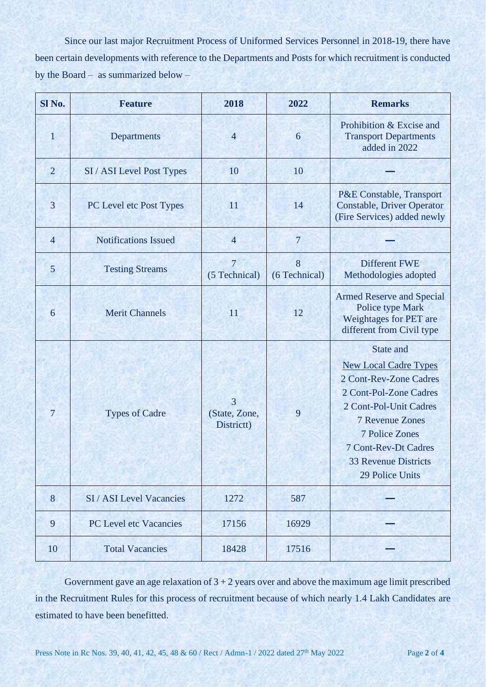Since our last major Recruitment Process of Uniformed Services Personnel in 2018-19, there have been certain developments with reference to the Departments and Posts for which recruitment is conducted by the Board – as summarized below –

| Sl <sub>No.</sub> | <b>Feature</b>                | 2018                                          | 2022               | <b>Remarks</b>                                                                                                                                                                                                                                                            |
|-------------------|-------------------------------|-----------------------------------------------|--------------------|---------------------------------------------------------------------------------------------------------------------------------------------------------------------------------------------------------------------------------------------------------------------------|
| 1                 | Departments                   | $\overline{4}$                                | 6                  | Prohibition & Excise and<br><b>Transport Departments</b><br>added in 2022                                                                                                                                                                                                 |
| $\overline{2}$    | SI / ASI Level Post Types     | 10                                            | 10                 |                                                                                                                                                                                                                                                                           |
| 3                 | PC Level etc Post Types       | 11                                            | 14                 | P&E Constable, Transport<br><b>Constable, Driver Operator</b><br>(Fire Services) added newly                                                                                                                                                                              |
| $\overline{4}$    | <b>Notifications Issued</b>   | $\overline{4}$                                | $\overline{7}$     |                                                                                                                                                                                                                                                                           |
| 5                 | <b>Testing Streams</b>        | 7<br>(5 Technical)                            | 8<br>(6 Technical) | <b>Different FWE</b><br>Methodologies adopted                                                                                                                                                                                                                             |
| 6                 | <b>Merit Channels</b>         | 11                                            | 12                 | <b>Armed Reserve and Special</b><br><b>Police type Mark</b><br>Weightages for PET are<br>different from Civil type                                                                                                                                                        |
| $\overline{7}$    | <b>Types of Cadre</b>         | $\overline{3}$<br>(State, Zone,<br>Districtt) | 9                  | <b>State and</b><br><b>New Local Cadre Types</b><br>2 Cont-Rev-Zone Cadres<br>2 Cont-Pol-Zone Cadres<br>2 Cont-Pol-Unit Cadres<br><b>7 Revenue Zones</b><br><b>7 Police Zones</b><br><b>7 Cont-Rev-Dt Cadres</b><br><b>33 Revenue Districts</b><br><b>29 Police Units</b> |
| 8                 | SI / ASI Level Vacancies      | 1272                                          | 587                |                                                                                                                                                                                                                                                                           |
| 9                 | <b>PC Level etc Vacancies</b> | 17156                                         | 16929              |                                                                                                                                                                                                                                                                           |
| 10                | <b>Total Vacancies</b>        | 18428                                         | 17516              |                                                                                                                                                                                                                                                                           |

Government gave an age relaxation of  $3 + 2$  years over and above the maximum age limit prescribed in the Recruitment Rules for this process of recruitment because of which nearly 1.4 Lakh Candidates are estimated to have been benefitted.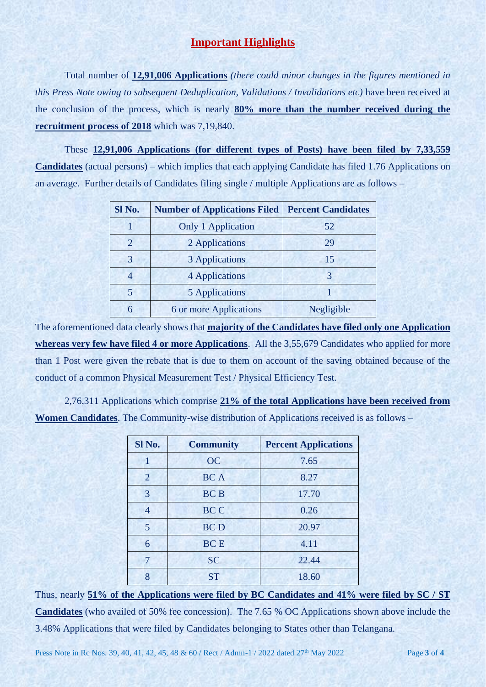### **Important Highlights**

Total number of **12,91,006 Applications** *(there could minor changes in the figures mentioned in this Press Note owing to subsequent Deduplication, Validations / Invalidations etc)* have been received at the conclusion of the process, which is nearly **80% more than the number received during the recruitment process of 2018** which was 7,19,840.

These **12,91,006 Applications (for different types of Posts) have been filed by 7,33,559 Candidates** (actual persons) – which implies that each applying Candidate has filed 1.76 Applications on an average. Further details of Candidates filing single / multiple Applications are as follows –

| Sl No. | <b>Number of Applications Filed</b> | <b>Percent Candidates</b> |
|--------|-------------------------------------|---------------------------|
|        | <b>Only 1 Application</b>           | 52                        |
| 2      | 2 Applications                      | 29                        |
| 3      | 3 Applications                      | 15                        |
| 4      | 4 Applications                      | 3                         |
| 5      | <b>5 Applications</b>               |                           |
| 6      | 6 or more Applications              | Negligible                |

The aforementioned data clearly shows that **majority of the Candidates have filed only one Application whereas very few have filed 4 or more Applications**. All the 3,55,679 Candidates who applied for more than 1 Post were given the rebate that is due to them on account of the saving obtained because of the conduct of a common Physical Measurement Test / Physical Efficiency Test.

2,76,311 Applications which comprise **21% of the total Applications have been received from Women Candidates**. The Community-wise distribution of Applications received is as follows –

| Sl No.         | <b>Community</b> | <b>Percent Applications</b> |
|----------------|------------------|-----------------------------|
| 1              | <b>OC</b>        | 7.65                        |
| $\overline{2}$ | <b>BCA</b>       | 8.27                        |
| 3              | <b>BCB</b>       | 17.70                       |
| $\overline{4}$ | <b>BCC</b>       | 0.26                        |
| 5              | <b>BCD</b>       | 20.97                       |
| 6              | <b>BCE</b>       | 4.11                        |
|                | <b>SC</b>        | 22.44                       |
| 8              | <b>ST</b>        | 18.60                       |

Thus, nearly **51% of the Applications were filed by BC Candidates and 41% were filed by SC / ST Candidates** (who availed of 50% fee concession). The 7.65 % OC Applications shown above include the 3.48% Applications that were filed by Candidates belonging to States other than Telangana.

Press Note in Rc Nos. 39, 40, 41, 42, 45, 48 & 60 / Rect / Admn-1 / 2022 dated 27<sup>th</sup> May 2022 Page 3 of 4